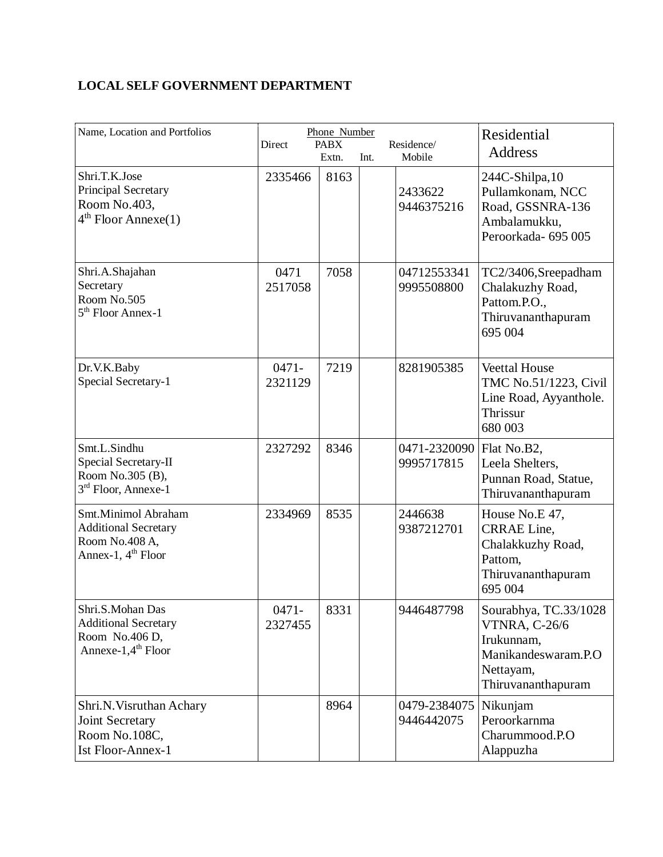## **LOCAL SELF GOVERNMENT DEPARTMENT**

| Name, Location and Portfolios                                                                       | Direct              | Phone Number<br><b>PABX</b><br>Extn. | Int. | Residence/<br>Mobile       | Residential<br><b>Address</b>                                                                                  |
|-----------------------------------------------------------------------------------------------------|---------------------|--------------------------------------|------|----------------------------|----------------------------------------------------------------------------------------------------------------|
| Shri.T.K.Jose<br>Principal Secretary<br>Room No.403,<br>$4th$ Floor Annexe(1)                       | 2335466             | 8163                                 |      | 2433622<br>9446375216      | 244C-Shilpa, 10<br>Pullamkonam, NCC<br>Road, GSSNRA-136<br>Ambalamukku,<br>Peroorkada- 695 005                 |
| Shri.A.Shajahan<br>Secretary<br>Room No.505<br>5 <sup>th</sup> Floor Annex-1                        | 0471<br>2517058     | 7058                                 |      | 04712553341<br>9995508800  | TC2/3406, Sreepadham<br>Chalakuzhy Road,<br>Pattom.P.O.,<br>Thiruvananthapuram<br>695 004                      |
| Dr.V.K.Baby<br>Special Secretary-1                                                                  | $0471 -$<br>2321129 | 7219                                 |      | 8281905385                 | <b>Veettal House</b><br>TMC No.51/1223, Civil<br>Line Road, Ayyanthole.<br>Thrissur<br>680 003                 |
| Smt.L.Sindhu<br>Special Secretary-II<br>Room No.305 (B),<br>3 <sup>rd</sup> Floor, Annexe-1         | 2327292             | 8346                                 |      | 0471-2320090<br>9995717815 | Flat No.B2,<br>Leela Shelters,<br>Punnan Road, Statue,<br>Thiruvananthapuram                                   |
| Smt.Minimol Abraham<br><b>Additional Secretary</b><br>Room No.408 A,<br>Annex-1, $4th$ Floor        | 2334969             | 8535                                 |      | 2446638<br>9387212701      | House No.E 47,<br>CRRAE Line,<br>Chalakkuzhy Road,<br>Pattom,<br>Thiruvananthapuram<br>695 004                 |
| Shri.S.Mohan Das<br><b>Additional Secretary</b><br>Room No.406 D,<br>Annexe-1,4 <sup>th</sup> Floor | $0471 -$<br>2327455 | 8331                                 |      | 9446487798                 | Sourabhya, TC.33/1028<br>VTNRA, C-26/6<br>Irukunnam,<br>Manikandeswaram.P.O<br>Nettayam,<br>Thiruvananthapuram |
| Shri.N. Visruthan Achary<br>Joint Secretary<br>Room No.108C,<br><b>Ist Floor-Annex-1</b>            |                     | 8964                                 |      | 0479-2384075<br>9446442075 | Nikunjam<br>Peroorkarnma<br>Charummood.P.O<br>Alappuzha                                                        |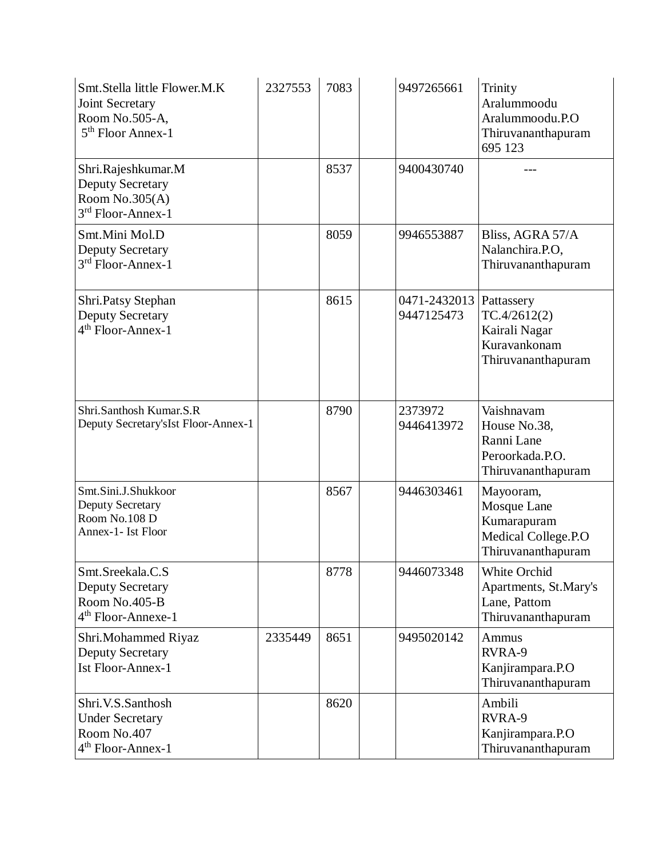| Smt.Stella little Flower.M.K<br>Joint Secretary<br>Room No.505-A,<br>$5th$ Floor Annex-1       | 2327553 | 7083 | 9497265661                 | Trinity<br>Aralummoodu<br>Aralummoodu.P.O<br>Thiruvananthapuram<br>695 123           |
|------------------------------------------------------------------------------------------------|---------|------|----------------------------|--------------------------------------------------------------------------------------|
| Shri.Rajeshkumar.M<br><b>Deputy Secretary</b><br>Room $No.305(A)$<br>3rd Floor-Annex-1         |         | 8537 | 9400430740                 |                                                                                      |
| Smt.Mini Mol.D<br><b>Deputy Secretary</b><br>3rd Floor-Annex-1                                 |         | 8059 | 9946553887                 | Bliss, AGRA 57/A<br>Nalanchira.P.O,<br>Thiruvananthapuram                            |
| Shri.Patsy Stephan<br>Deputy Secretary<br>$4th$ Floor-Annex-1                                  |         | 8615 | 0471-2432013<br>9447125473 | Pattassery<br>TC.4/2612(2)<br>Kairali Nagar<br>Kuravankonam<br>Thiruvananthapuram    |
| Shri.Santhosh Kumar.S.R<br>Deputy Secretary's Ist Floor-Annex-1                                |         | 8790 | 2373972<br>9446413972      | Vaishnavam<br>House No.38,<br>Ranni Lane<br>Peroorkada.P.O.<br>Thiruvananthapuram    |
| Smt.Sini.J.Shukkoor<br>Deputy Secretary<br>Room No.108 D<br>Annex-1- Ist Floor                 |         | 8567 | 9446303461                 | Mayooram,<br>Mosque Lane<br>Kumarapuram<br>Medical College.P.O<br>Thiruvananthapuram |
| Smt.Sreekala.C.S<br><b>Deputy Secretary</b><br>Room No.405-B<br>4 <sup>th</sup> Floor-Annexe-1 |         | 8778 | 9446073348                 | White Orchid<br>Apartments, St.Mary's<br>Lane, Pattom<br>Thiruvananthapuram          |
| Shri.Mohammed Riyaz<br><b>Deputy Secretary</b><br><b>Ist Floor-Annex-1</b>                     | 2335449 | 8651 | 9495020142                 | Ammus<br>RVRA-9<br>Kanjirampara.P.O<br>Thiruvananthapuram                            |
| Shri.V.S.Santhosh<br><b>Under Secretary</b><br>Room No.407<br>4 <sup>th</sup> Floor-Annex-1    |         | 8620 |                            | Ambili<br>RVRA-9<br>Kanjirampara.P.O<br>Thiruvananthapuram                           |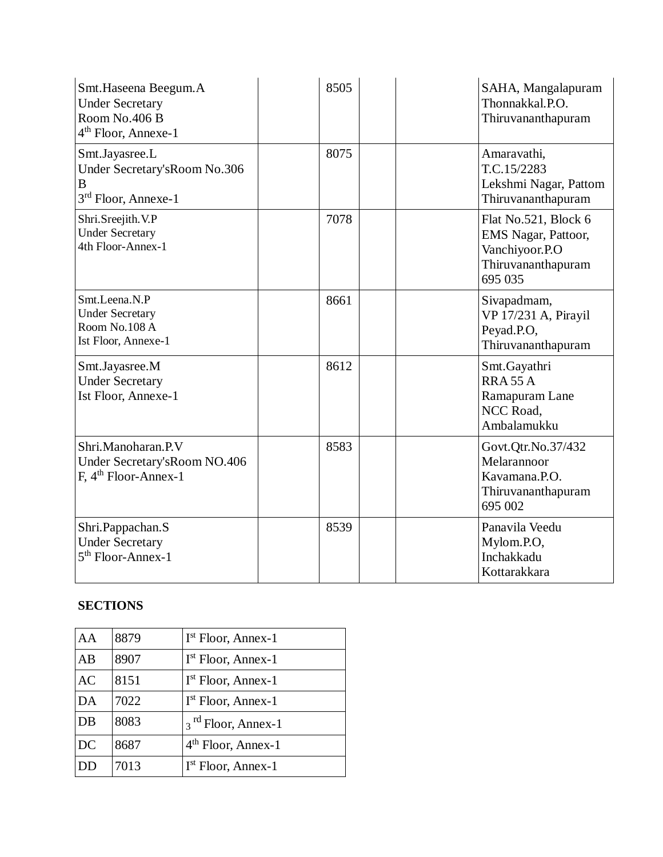| Smt. Haseena Beegum. A<br><b>Under Secretary</b><br>Room No.406 B<br>4 <sup>th</sup> Floor, Annexe-1 | 8505 | SAHA, Mangalapuram<br>Thonnakkal.P.O.<br>Thiruvananthapuram                                    |
|------------------------------------------------------------------------------------------------------|------|------------------------------------------------------------------------------------------------|
| Smt.Jayasree.L<br>Under Secretary's Room No.306<br>B<br>3 <sup>rd</sup> Floor, Annexe-1              | 8075 | Amaravathi,<br>T.C.15/2283<br>Lekshmi Nagar, Pattom<br>Thiruvananthapuram                      |
| Shri.Sreejith.V.P<br><b>Under Secretary</b><br>4th Floor-Annex-1                                     | 7078 | Flat No.521, Block 6<br>EMS Nagar, Pattoor,<br>Vanchiyoor.P.O<br>Thiruvananthapuram<br>695 035 |
| Smt.Leena.N.P<br><b>Under Secretary</b><br>Room No.108 A<br>Ist Floor, Annexe-1                      | 8661 | Sivapadmam,<br>VP 17/231 A, Pirayil<br>Peyad.P.O,<br>Thiruvananthapuram                        |
| Smt.Jayasree.M<br><b>Under Secretary</b><br>Ist Floor, Annexe-1                                      | 8612 | Smt.Gayathri<br><b>RRA 55 A</b><br>Ramapuram Lane<br>NCC Road,<br>Ambalamukku                  |
| Shri.Manoharan.P.V<br>Under Secretary's Room NO.406<br>$F, 4th Floor-Annex-1$                        | 8583 | Govt.Qtr.No.37/432<br>Melarannoor<br>Kavamana.P.O.<br>Thiruvananthapuram<br>695 002            |
| Shri.Pappachan.S<br><b>Under Secretary</b><br>$5th$ Floor-Annex-1                                    | 8539 | Panavila Veedu<br>Mylom.P.O,<br>Inchakkadu<br>Kottarakkara                                     |

## **SECTIONS**

| AA        | 8879 | I <sup>st</sup> Floor, Annex-1 |
|-----------|------|--------------------------------|
| AB        | 8907 | I <sup>st</sup> Floor, Annex-1 |
| <b>AC</b> | 8151 | I <sup>st</sup> Floor, Annex-1 |
| DA        | 7022 | I <sup>st</sup> Floor, Annex-1 |
| DB        | 8083 | 3 <sup>rd</sup> Floor, Annex-1 |
| DC        | 8687 | $4th$ Floor, Annex-1           |
| DD        | 7013 | $Ist$ Floor, Annex-1           |